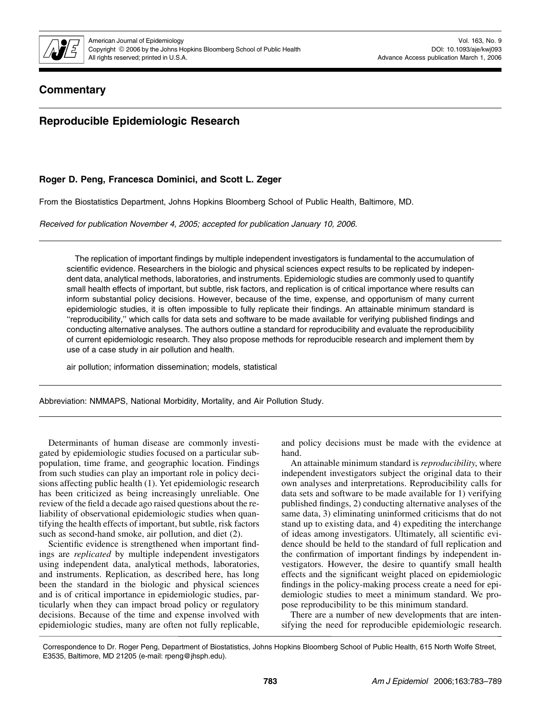

# **Commentary**

# Reproducible Epidemiologic Research

# Roger D. Peng, Francesca Dominici, and Scott L. Zeger

From the Biostatistics Department, Johns Hopkins Bloomberg School of Public Health, Baltimore, MD.

Received for publication November 4, 2005; accepted for publication January 10, 2006.

The replication of important findings by multiple independent investigators is fundamental to the accumulation of scientific evidence. Researchers in the biologic and physical sciences expect results to be replicated by independent data, analytical methods, laboratories, and instruments. Epidemiologic studies are commonly used to quantify small health effects of important, but subtle, risk factors, and replication is of critical importance where results can inform substantial policy decisions. However, because of the time, expense, and opportunism of many current epidemiologic studies, it is often impossible to fully replicate their findings. An attainable minimum standard is ''reproducibility,'' which calls for data sets and software to be made available for verifying published findings and conducting alternative analyses. The authors outline a standard for reproducibility and evaluate the reproducibility of current epidemiologic research. They also propose methods for reproducible research and implement them by use of a case study in air pollution and health.

air pollution; information dissemination; models, statistical

Abbreviation: NMMAPS, National Morbidity, Mortality, and Air Pollution Study.

Determinants of human disease are commonly investigated by epidemiologic studies focused on a particular subpopulation, time frame, and geographic location. Findings from such studies can play an important role in policy decisions affecting public health (1). Yet epidemiologic research has been criticized as being increasingly unreliable. One review of the field a decade ago raised questions about the reliability of observational epidemiologic studies when quantifying the health effects of important, but subtle, risk factors such as second-hand smoke, air pollution, and diet (2).

Scientific evidence is strengthened when important findings are replicated by multiple independent investigators using independent data, analytical methods, laboratories, and instruments. Replication, as described here, has long been the standard in the biologic and physical sciences and is of critical importance in epidemiologic studies, particularly when they can impact broad policy or regulatory decisions. Because of the time and expense involved with epidemiologic studies, many are often not fully replicable,

and policy decisions must be made with the evidence at hand.

An attainable minimum standard is *reproducibility*, where independent investigators subject the original data to their own analyses and interpretations. Reproducibility calls for data sets and software to be made available for 1) verifying published findings, 2) conducting alternative analyses of the same data, 3) eliminating uninformed criticisms that do not stand up to existing data, and 4) expediting the interchange of ideas among investigators. Ultimately, all scientific evidence should be held to the standard of full replication and the confirmation of important findings by independent investigators. However, the desire to quantify small health effects and the significant weight placed on epidemiologic findings in the policy-making process create a need for epidemiologic studies to meet a minimum standard. We propose reproducibility to be this minimum standard.

There are a number of new developments that are intensifying the need for reproducible epidemiologic research.

Correspondence to Dr. Roger Peng, Department of Biostatistics, Johns Hopkins Bloomberg School of Public Health, 615 North Wolfe Street, E3535, Baltimore, MD 21205 (e-mail: rpeng@jhsph.edu).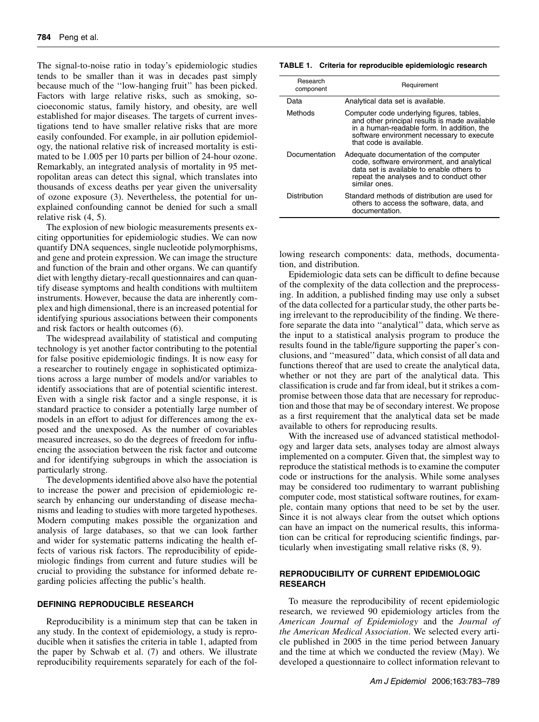The signal-to-noise ratio in today's epidemiologic studies tends to be smaller than it was in decades past simply because much of the ''low-hanging fruit'' has been picked. Factors with large relative risks, such as smoking, socioeconomic status, family history, and obesity, are well established for major diseases. The targets of current investigations tend to have smaller relative risks that are more easily confounded. For example, in air pollution epidemiology, the national relative risk of increased mortality is estimated to be 1.005 per 10 parts per billion of 24-hour ozone. Remarkably, an integrated analysis of mortality in 95 metropolitan areas can detect this signal, which translates into thousands of excess deaths per year given the universality of ozone exposure (3). Nevertheless, the potential for unexplained confounding cannot be denied for such a small relative risk (4, 5).

The explosion of new biologic measurements presents exciting opportunities for epidemiologic studies. We can now quantify DNA sequences, single nucleotide polymorphisms, and gene and protein expression. We can image the structure and function of the brain and other organs. We can quantify diet with lengthy dietary-recall questionnaires and can quantify disease symptoms and health conditions with multiitem instruments. However, because the data are inherently complex and high dimensional, there is an increased potential for identifying spurious associations between their components and risk factors or health outcomes (6).

The widespread availability of statistical and computing technology is yet another factor contributing to the potential for false positive epidemiologic findings. It is now easy for a researcher to routinely engage in sophisticated optimizations across a large number of models and/or variables to identify associations that are of potential scientific interest. Even with a single risk factor and a single response, it is standard practice to consider a potentially large number of models in an effort to adjust for differences among the exposed and the unexposed. As the number of covariables measured increases, so do the degrees of freedom for influencing the association between the risk factor and outcome and for identifying subgroups in which the association is particularly strong.

The developments identified above also have the potential to increase the power and precision of epidemiologic research by enhancing our understanding of disease mechanisms and leading to studies with more targeted hypotheses. Modern computing makes possible the organization and analysis of large databases, so that we can look farther and wider for systematic patterns indicating the health effects of various risk factors. The reproducibility of epidemiologic findings from current and future studies will be crucial to providing the substance for informed debate regarding policies affecting the public's health.

#### DEFINING REPRODUCIBLE RESEARCH

Reproducibility is a minimum step that can be taken in any study. In the context of epidemiology, a study is reproducible when it satisfies the criteria in table 1, adapted from the paper by Schwab et al. (7) and others. We illustrate reproducibility requirements separately for each of the fol-

TABLE 1. Criteria for reproducible epidemiologic research

| Research<br>component | Requirement                                                                                                                                                                                                      |
|-----------------------|------------------------------------------------------------------------------------------------------------------------------------------------------------------------------------------------------------------|
| Data                  | Analytical data set is available.                                                                                                                                                                                |
| Methods               | Computer code underlying figures, tables,<br>and other principal results is made available<br>in a human-readable form. In addition, the<br>software environment necessary to execute<br>that code is available. |
| Documentation         | Adequate documentation of the computer<br>code, software environment, and analytical<br>data set is available to enable others to<br>repeat the analyses and to conduct other<br>similar ones.                   |
| Distribution          | Standard methods of distribution are used for<br>others to access the software, data, and<br>documentation.                                                                                                      |

lowing research components: data, methods, documentation, and distribution.

Epidemiologic data sets can be difficult to define because of the complexity of the data collection and the preprocessing. In addition, a published finding may use only a subset of the data collected for a particular study, the other parts being irrelevant to the reproducibility of the finding. We therefore separate the data into ''analytical'' data, which serve as the input to a statistical analysis program to produce the results found in the table/figure supporting the paper's conclusions, and ''measured'' data, which consist of all data and functions thereof that are used to create the analytical data, whether or not they are part of the analytical data. This classification is crude and far from ideal, but it strikes a compromise between those data that are necessary for reproduction and those that may be of secondary interest. We propose as a first requirement that the analytical data set be made available to others for reproducing results.

With the increased use of advanced statistical methodology and larger data sets, analyses today are almost always implemented on a computer. Given that, the simplest way to reproduce the statistical methods is to examine the computer code or instructions for the analysis. While some analyses may be considered too rudimentary to warrant publishing computer code, most statistical software routines, for example, contain many options that need to be set by the user. Since it is not always clear from the outset which options can have an impact on the numerical results, this information can be critical for reproducing scientific findings, particularly when investigating small relative risks (8, 9).

## REPRODUCIBILITY OF CURRENT EPIDEMIOLOGIC RESEARCH

To measure the reproducibility of recent epidemiologic research, we reviewed 90 epidemiology articles from the American Journal of Epidemiology and the Journal of the American Medical Association. We selected every article published in 2005 in the time period between January and the time at which we conducted the review (May). We developed a questionnaire to collect information relevant to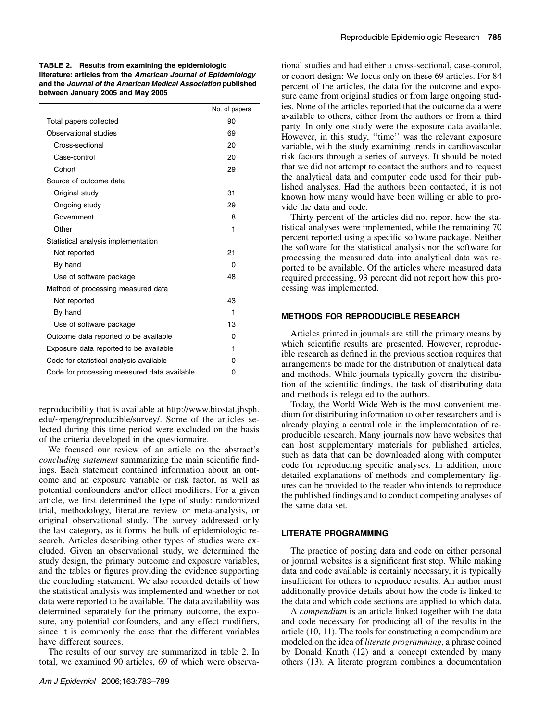TABLE 2. Results from examining the epidemiologic literature: articles from the American Journal of Epidemiology and the Journal of the American Medical Association published between January 2005 and May 2005

|                                             | No. of papers |
|---------------------------------------------|---------------|
| Total papers collected                      | 90            |
| Observational studies                       | 69            |
| Cross-sectional                             | 20            |
| Case-control                                | 20            |
| Cohort                                      | 29            |
| Source of outcome data                      |               |
| Original study                              | 31            |
| Ongoing study                               | 29            |
| Government                                  | 8             |
| Other                                       | 1             |
| Statistical analysis implementation         |               |
| Not reported                                | 21            |
| By hand                                     | $\Omega$      |
| Use of software package                     | 48            |
| Method of processing measured data          |               |
| Not reported                                | 43            |
| By hand                                     | 1             |
| Use of software package                     | 13            |
| Outcome data reported to be available       | 0             |
| Exposure data reported to be available      | 1             |
| Code for statistical analysis available     | 0             |
| Code for processing measured data available | 0             |

reproducibility that is available at [http://www.biostat.jhsph.](http://www.biostat.jhsph.edu/~rpeng/reproducible/survey/) edu/~[rpeng/reproducible/survey/.](http://www.biostat.jhsph.edu/~rpeng/reproducible/survey/) Some of the articles selected during this time period were excluded on the basis of the criteria developed in the questionnaire.

We focused our review of an article on the abstract's concluding statement summarizing the main scientific findings. Each statement contained information about an outcome and an exposure variable or risk factor, as well as potential confounders and/or effect modifiers. For a given article, we first determined the type of study: randomized trial, methodology, literature review or meta-analysis, or original observational study. The survey addressed only the last category, as it forms the bulk of epidemiologic research. Articles describing other types of studies were excluded. Given an observational study, we determined the study design, the primary outcome and exposure variables, and the tables or figures providing the evidence supporting the concluding statement. We also recorded details of how the statistical analysis was implemented and whether or not data were reported to be available. The data availability was determined separately for the primary outcome, the exposure, any potential confounders, and any effect modifiers, since it is commonly the case that the different variables have different sources.

The results of our survey are summarized in table 2. In total, we examined 90 articles, 69 of which were observa-

tional studies and had either a cross-sectional, case-control, or cohort design: We focus only on these 69 articles. For 84 percent of the articles, the data for the outcome and exposure came from original studies or from large ongoing studies. None of the articles reported that the outcome data were available to others, either from the authors or from a third party. In only one study were the exposure data available. However, in this study, ''time'' was the relevant exposure variable, with the study examining trends in cardiovascular risk factors through a series of surveys. It should be noted that we did not attempt to contact the authors and to request the analytical data and computer code used for their published analyses. Had the authors been contacted, it is not known how many would have been willing or able to provide the data and code.

Thirty percent of the articles did not report how the statistical analyses were implemented, while the remaining 70 percent reported using a specific software package. Neither the software for the statistical analysis nor the software for processing the measured data into analytical data was reported to be available. Of the articles where measured data required processing, 93 percent did not report how this processing was implemented.

#### METHODS FOR REPRODUCIBLE RESEARCH

Articles printed in journals are still the primary means by which scientific results are presented. However, reproducible research as defined in the previous section requires that arrangements be made for the distribution of analytical data and methods. While journals typically govern the distribution of the scientific findings, the task of distributing data and methods is relegated to the authors.

Today, the World Wide Web is the most convenient medium for distributing information to other researchers and is already playing a central role in the implementation of reproducible research. Many journals now have websites that can host supplementary materials for published articles, such as data that can be downloaded along with computer code for reproducing specific analyses. In addition, more detailed explanations of methods and complementary figures can be provided to the reader who intends to reproduce the published findings and to conduct competing analyses of the same data set.

#### LITERATE PROGRAMMING

The practice of posting data and code on either personal or journal websites is a significant first step. While making data and code available is certainly necessary, it is typically insufficient for others to reproduce results. An author must additionally provide details about how the code is linked to the data and which code sections are applied to which data.

A compendium is an article linked together with the data and code necessary for producing all of the results in the article (10, 11). The tools for constructing a compendium are modeled on the idea of literate programming, a phrase coined by Donald Knuth (12) and a concept extended by many others (13). A literate program combines a documentation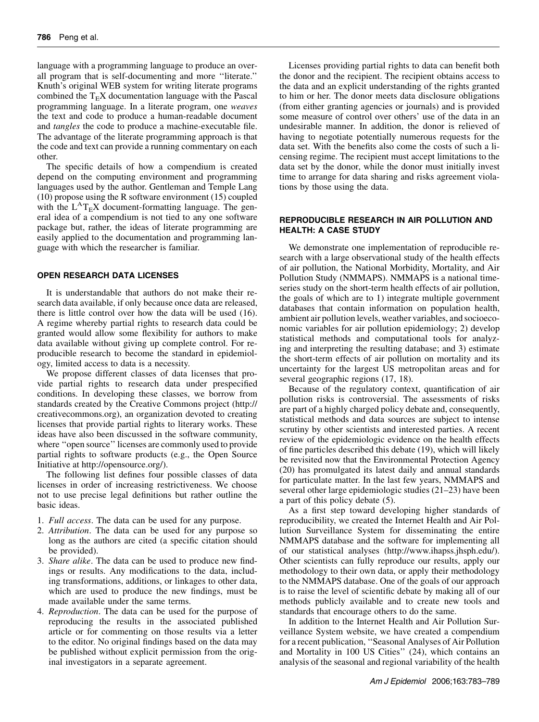language with a programming language to produce an overall program that is self-documenting and more ''literate.'' Knuth's original WEB system for writing literate programs combined the  $T_{E}X$  documentation language with the Pascal programming language. In a literate program, one weaves the text and code to produce a human-readable document and *tangles* the code to produce a machine-executable file. The advantage of the literate programming approach is that the code and text can provide a running commentary on each other.

The specific details of how a compendium is created depend on the computing environment and programming languages used by the author. Gentleman and Temple Lang (10) propose using the R software environment (15) coupled with the  $L^{A}T_{E}X$  document-formatting language. The general idea of a compendium is not tied to any one software package but, rather, the ideas of literate programming are easily applied to the documentation and programming language with which the researcher is familiar.

### OPEN RESEARCH DATA LICENSES

It is understandable that authors do not make their research data available, if only because once data are released, there is little control over how the data will be used (16). A regime whereby partial rights to research data could be granted would allow some flexibility for authors to make data available without giving up complete control. For reproducible research to become the standard in epidemiology, limited access to data is a necessity.

We propose different classes of data licenses that provide partial rights to research data under prespecified conditions. In developing these classes, we borrow from standards created by the Creative Commons project [\(http://](http://creativecommons.org) [creativecommons.org\),](http://creativecommons.org) an organization devoted to creating licenses that provide partial rights to literary works. These ideas have also been discussed in the software community, where ''open source'' licenses are commonly used to provide partial rights to software products (e.g., the Open Source Initiative at [http://opensource.org/\).](http://opensource.org/)

The following list defines four possible classes of data licenses in order of increasing restrictiveness. We choose not to use precise legal definitions but rather outline the basic ideas.

- 1. Full access. The data can be used for any purpose.
- 2. Attribution. The data can be used for any purpose so long as the authors are cited (a specific citation should be provided).
- 3. Share alike. The data can be used to produce new findings or results. Any modifications to the data, including transformations, additions, or linkages to other data, which are used to produce the new findings, must be made available under the same terms.
- 4. Reproduction. The data can be used for the purpose of reproducing the results in the associated published article or for commenting on those results via a letter to the editor. No original findings based on the data may be published without explicit permission from the original investigators in a separate agreement.

Licenses providing partial rights to data can benefit both the donor and the recipient. The recipient obtains access to the data and an explicit understanding of the rights granted to him or her. The donor meets data disclosure obligations (from either granting agencies or journals) and is provided some measure of control over others' use of the data in an undesirable manner. In addition, the donor is relieved of having to negotiate potentially numerous requests for the data set. With the benefits also come the costs of such a licensing regime. The recipient must accept limitations to the data set by the donor, while the donor must initially invest time to arrange for data sharing and risks agreement violations by those using the data.

### REPRODUCIBLE RESEARCH IN AIR POLLUTION AND HEALTH: A CASE STUDY

We demonstrate one implementation of reproducible research with a large observational study of the health effects of air pollution, the National Morbidity, Mortality, and Air Pollution Study (NMMAPS). NMMAPS is a national timeseries study on the short-term health effects of air pollution, the goals of which are to 1) integrate multiple government databases that contain information on population health, ambient air pollution levels, weather variables, and socioeconomic variables for air pollution epidemiology; 2) develop statistical methods and computational tools for analyzing and interpreting the resulting database; and 3) estimate the short-term effects of air pollution on mortality and its uncertainty for the largest US metropolitan areas and for several geographic regions (17, 18).

Because of the regulatory context, quantification of air pollution risks is controversial. The assessments of risks are part of a highly charged policy debate and, consequently, statistical methods and data sources are subject to intense scrutiny by other scientists and interested parties. A recent review of the epidemiologic evidence on the health effects of fine particles described this debate (19), which will likely be revisited now that the Environmental Protection Agency (20) has promulgated its latest daily and annual standards for particulate matter. In the last few years, NMMAPS and several other large epidemiologic studies (21–23) have been a part of this policy debate (5).

As a first step toward developing higher standards of reproducibility, we created the Internet Health and Air Pollution Surveillance System for disseminating the entire NMMAPS database and the software for implementing all of our statistical analyses [\(http://www.ihapss.jhsph.edu/\).](http://www.ihapss.jhsph.edu/) Other scientists can fully reproduce our results, apply our methodology to their own data, or apply their methodology to the NMMAPS database. One of the goals of our approach is to raise the level of scientific debate by making all of our methods publicly available and to create new tools and standards that encourage others to do the same.

In addition to the Internet Health and Air Pollution Surveillance System website, we have created a compendium for a recent publication, ''Seasonal Analyses of Air Pollution and Mortality in 100 US Cities'' (24), which contains an analysis of the seasonal and regional variability of the health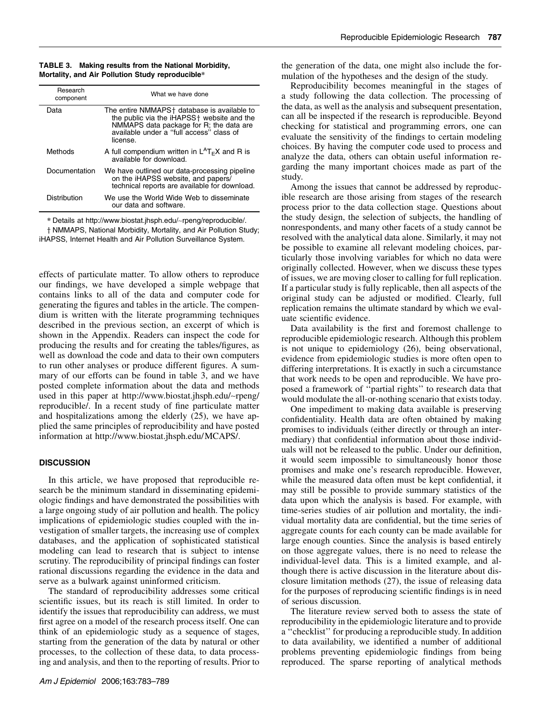| TABLE 3. | Making results from the National Morbidity,      |
|----------|--------------------------------------------------|
|          | Mortality, and Air Pollution Study reproducible* |

| Research<br>component | What we have done                                                                                                                                                                                        |
|-----------------------|----------------------------------------------------------------------------------------------------------------------------------------------------------------------------------------------------------|
| Data                  | The entire NMMAPS+ database is available to<br>the public via the iHAPSS <sup>+</sup> website and the<br>NMMAPS data package for R; the data are<br>available under a "full access" class of<br>license. |
| Methods               | A full compendium written in $L^AT_EX$ and R is<br>available for download.                                                                                                                               |
| Documentation         | We have outlined our data-processing pipeline<br>on the iHAPSS website, and papers/<br>technical reports are available for download.                                                                     |
| Distribution          | We use the World Wide Web to disseminate<br>our data and software.                                                                                                                                       |

\* Details a[t http://www.biostat.jhsph.edu/](http://www.biostat.jhsph.edu/~rpeng/reproducible/)~rpeng/reproducible/.

 $\dagger$  NMMAPS, National Morbidity, Mortality, and Air Pollution Study; iHAPSS, Internet Health and Air Pollution Surveillance System.

effects of particulate matter. To allow others to reproduce our findings, we have developed a simple webpage that contains links to all of the data and computer code for generating the figures and tables in the article. The compendium is written with the literate programming techniques described in the previous section, an excerpt of which is shown in the Appendix. Readers can inspect the code for producing the results and for creating the tables/figures, as well as download the code and data to their own computers to run other analyses or produce different figures. A summary of our efforts can be found in table 3, and we have posted complete information about the data and methods used in this paper at [http://www.biostat.jhsph.edu/](http://www.biostat.jhsph.edu/~rpeng/reproducible/)~rpeng/ [reproducible/.](http://www.biostat.jhsph.edu/~rpeng/reproducible/) In a recent study of fine particulate matter and hospitalizations among the elderly (25), we have applied the same principles of reproducibility and have posted information at [http://www.biostat.jhsph.edu/MCAPS/.](http://www.biostat.jhsph.edu/MCAPS/)

### **DISCUSSION**

In this article, we have proposed that reproducible research be the minimum standard in disseminating epidemiologic findings and have demonstrated the possibilities with a large ongoing study of air pollution and health. The policy implications of epidemiologic studies coupled with the investigation of smaller targets, the increasing use of complex databases, and the application of sophisticated statistical modeling can lead to research that is subject to intense scrutiny. The reproducibility of principal findings can foster rational discussions regarding the evidence in the data and serve as a bulwark against uninformed criticism.

The standard of reproducibility addresses some critical scientific issues, but its reach is still limited. In order to identify the issues that reproducibility can address, we must first agree on a model of the research process itself. One can think of an epidemiologic study as a sequence of stages, starting from the generation of the data by natural or other processes, to the collection of these data, to data processing and analysis, and then to the reporting of results. Prior to the generation of the data, one might also include the formulation of the hypotheses and the design of the study.

Reproducibility becomes meaningful in the stages of a study following the data collection. The processing of the data, as well as the analysis and subsequent presentation, can all be inspected if the research is reproducible. Beyond checking for statistical and programming errors, one can evaluate the sensitivity of the findings to certain modeling choices. By having the computer code used to process and analyze the data, others can obtain useful information regarding the many important choices made as part of the study.

Among the issues that cannot be addressed by reproducible research are those arising from stages of the research process prior to the data collection stage. Questions about the study design, the selection of subjects, the handling of nonrespondents, and many other facets of a study cannot be resolved with the analytical data alone. Similarly, it may not be possible to examine all relevant modeling choices, particularly those involving variables for which no data were originally collected. However, when we discuss these types of issues, we are moving closer to calling for full replication. If a particular study is fully replicable, then all aspects of the original study can be adjusted or modified. Clearly, full replication remains the ultimate standard by which we evaluate scientific evidence.

Data availability is the first and foremost challenge to reproducible epidemiologic research. Although this problem is not unique to epidemiology (26), being observational, evidence from epidemiologic studies is more often open to differing interpretations. It is exactly in such a circumstance that work needs to be open and reproducible. We have proposed a framework of ''partial rights'' to research data that would modulate the all-or-nothing scenario that exists today.

One impediment to making data available is preserving confidentiality. Health data are often obtained by making promises to individuals (either directly or through an intermediary) that confidential information about those individuals will not be released to the public. Under our definition, it would seem impossible to simultaneously honor those promises and make one's research reproducible. However, while the measured data often must be kept confidential, it may still be possible to provide summary statistics of the data upon which the analysis is based. For example, with time-series studies of air pollution and mortality, the individual mortality data are confidential, but the time series of aggregate counts for each county can be made available for large enough counties. Since the analysis is based entirely on those aggregate values, there is no need to release the individual-level data. This is a limited example, and although there is active discussion in the literature about disclosure limitation methods (27), the issue of releasing data for the purposes of reproducing scientific findings is in need of serious discussion.

The literature review served both to assess the state of reproducibility in the epidemiologic literature and to provide a ''checklist'' for producing a reproducible study. In addition to data availability, we identified a number of additional problems preventing epidemiologic findings from being reproduced. The sparse reporting of analytical methods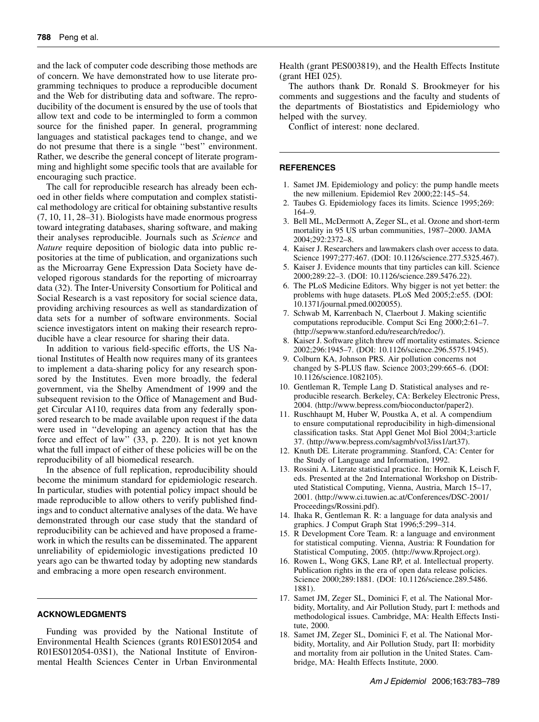and the lack of computer code describing those methods are of concern. We have demonstrated how to use literate programming techniques to produce a reproducible document and the Web for distributing data and software. The reproducibility of the document is ensured by the use of tools that allow text and code to be intermingled to form a common source for the finished paper. In general, programming languages and statistical packages tend to change, and we do not presume that there is a single ''best'' environment. Rather, we describe the general concept of literate programming and highlight some specific tools that are available for encouraging such practice.

The call for reproducible research has already been echoed in other fields where computation and complex statistical methodology are critical for obtaining substantive results (7, 10, 11, 28–31). Biologists have made enormous progress toward integrating databases, sharing software, and making their analyses reproducible. Journals such as Science and Nature require deposition of biologic data into public repositories at the time of publication, and organizations such as the Microarray Gene Expression Data Society have developed rigorous standards for the reporting of microarray data (32). The Inter-University Consortium for Political and Social Research is a vast repository for social science data, providing archiving resources as well as standardization of data sets for a number of software environments. Social science investigators intent on making their research reproducible have a clear resource for sharing their data.

In addition to various field-specific efforts, the US National Institutes of Health now requires many of its grantees to implement a data-sharing policy for any research sponsored by the Institutes. Even more broadly, the federal government, via the Shelby Amendment of 1999 and the subsequent revision to the Office of Management and Budget Circular A110, requires data from any federally sponsored research to be made available upon request if the data were used in ''developing an agency action that has the force and effect of law'' (33, p. 220). It is not yet known what the full impact of either of these policies will be on the reproducibility of all biomedical research.

In the absence of full replication, reproducibility should become the minimum standard for epidemiologic research. In particular, studies with potential policy impact should be made reproducible to allow others to verify published findings and to conduct alternative analyses of the data. We have demonstrated through our case study that the standard of reproducibility can be achieved and have proposed a framework in which the results can be disseminated. The apparent unreliability of epidemiologic investigations predicted 10 years ago can be thwarted today by adopting new standards and embracing a more open research environment.

#### ACKNOWLEDGMENTS

Funding was provided by the National Institute of Environmental Health Sciences (grants R01ES012054 and R01ES012054-03S1), the National Institute of Environmental Health Sciences Center in Urban Environmental

Health (grant PES003819), and the Health Effects Institute (grant HEI 025).

The authors thank Dr. Ronald S. Brookmeyer for his comments and suggestions and the faculty and students of the departments of Biostatistics and Epidemiology who helped with the survey.

Conflict of interest: none declared.

#### **REFERENCES**

- 1. Samet JM. Epidemiology and policy: the pump handle meets the new millenium. Epidemiol Rev 2000;22:145–54.
- 2. Taubes G. Epidemiology faces its limits. Science 1995;269: 164–9.
- 3. Bell ML, McDermott A, Zeger SL, et al. Ozone and short-term mortality in 95 US urban communities, 1987–2000. JAMA 2004;292:2372–8.
- 4. Kaiser J. Researchers and lawmakers clash over access to data. Science 1997;277:467. (DOI: 10.1126/science.277.5325.467).
- 5. Kaiser J. Evidence mounts that tiny particles can kill. Science 2000;289:22–3. (DOI: 10.1126/science.289.5476.22).
- 6. The PLoS Medicine Editors. Why bigger is not yet better: the problems with huge datasets. PLoS Med 2005;2:e55. (DOI: 10.1371/journal.pmed.0020055).
- 7. Schwab M, Karrenbach N, Claerbout J. Making scientific computations reproducible. Comput Sci Eng 2000;2:61–7. [\(http://sepwww.stanford.edu/research/redoc/\).](http://sepwww.stanford.edu/research/redoc/)
- 8. Kaiser J. Software glitch threw off mortality estimates. Science 2002;296:1945–7. (DOI: 10.1126/science.296.5575.1945).
- 9. Colburn KA, Johnson PRS. Air pollution concerns not changed by S-PLUS flaw. Science 2003;299:665–6. (DOI: 10.1126/science.1082105).
- 10. Gentleman R, Temple Lang D. Statistical analyses and reproducible research. Berkeley, CA: Berkeley Electronic Press, 2004. [\(http://www.bepress.com/bioconductor/paper2\).](http://www.bepress.com/bioconductor/paper2)
- 11. Ruschhaupt M, Huber W, Poustka A, et al. A compendium to ensure computational reproducibility in high-dimensional classification tasks. Stat Appl Genet Mol Biol 2004;3:article 37[. \(http://www.bepress.com/sagmb/vol3/iss1/art37\).](http://www.bepress.com/sagmb/vol3/iss1/art37)
- 12. Knuth DE. Literate programming. Stanford, CA: Center for the Study of Language and Information, 1992.
- 13. Rossini A. Literate statistical practice. In: Hornik K, Leisch F, eds. Presented at the 2nd International Workshop on Distributed Statistical Computing, Vienna, Austria, March 15–17, 2001. [\(http://www.ci.tuwien.ac.at/Conferences/DSC-2001/](http://www.ci.tuwien.ac.at/Conferences/DSC-2001/Proceedings/Rossini.pdf) [Proceedings/Rossini.pdf\).](http://www.ci.tuwien.ac.at/Conferences/DSC-2001/Proceedings/Rossini.pdf)
- 14. Ihaka R, Gentleman R. R: a language for data analysis and graphics. J Comput Graph Stat 1996;5:299–314.
- 15. R Development Core Team. R: a language and environment for statistical computing. Vienna, Austria: R Foundation for Statistical Computing, 2005. [\(http://www.Rproject.org\).](http://www.Rproject.org)
- 16. Rowen L, Wong GKS, Lane RP, et al. Intellectual property. Publication rights in the era of open data release policies. Science 2000;289:1881. (DOI: 10.1126/science.289.5486. 1881).
- 17. Samet JM, Zeger SL, Dominici F, et al. The National Morbidity, Mortality, and Air Pollution Study, part I: methods and methodological issues. Cambridge, MA: Health Effects Institute, 2000.
- 18. Samet JM, Zeger SL, Dominici F, et al. The National Morbidity, Mortality, and Air Pollution Study, part II: morbidity and mortality from air pollution in the United States. Cambridge, MA: Health Effects Institute, 2000.